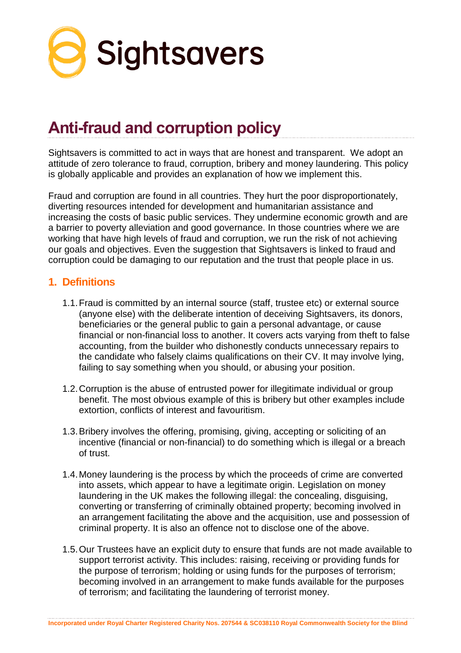

# **Anti-fraud and corruption policy**

Sightsavers is committed to act in ways that are honest and transparent. We adopt an attitude of zero tolerance to fraud, corruption, bribery and money laundering. This policy is globally applicable and provides an explanation of how we implement this.

Fraud and corruption are found in all countries. They hurt the poor disproportionately, diverting resources intended for development and humanitarian assistance and increasing the costs of basic public services. They undermine economic growth and are a barrier to poverty alleviation and good governance. In those countries where we are working that have high levels of fraud and corruption, we run the risk of not achieving our goals and objectives. Even the suggestion that Sightsavers is linked to fraud and corruption could be damaging to our reputation and the trust that people place in us.

### **1. Definitions**

- 1.1.Fraud is committed by an internal source (staff, trustee etc) or external source (anyone else) with the deliberate intention of deceiving Sightsavers, its donors, beneficiaries or the general public to gain a personal advantage, or cause financial or non-financial loss to another. It covers acts varying from theft to false accounting, from the builder who dishonestly conducts unnecessary repairs to the candidate who falsely claims qualifications on their CV. It may involve lying, failing to say something when you should, or abusing your position.
- 1.2.Corruption is the abuse of entrusted power for illegitimate individual or group benefit. The most obvious example of this is bribery but other examples include extortion, conflicts of interest and favouritism.
- 1.3.Bribery involves the offering, promising, giving, accepting or soliciting of an incentive (financial or non-financial) to do something which is illegal or a breach of trust.
- 1.4.Money laundering is the process by which the proceeds of crime are converted into assets, which appear to have a legitimate origin. Legislation on money laundering in the UK makes the following illegal: the concealing, disguising, converting or transferring of criminally obtained property; becoming involved in an arrangement facilitating the above and the acquisition, use and possession of criminal property. It is also an offence not to disclose one of the above.
- 1.5.Our Trustees have an explicit duty to ensure that funds are not made available to support terrorist activity. This includes: raising, receiving or providing funds for the purpose of terrorism; holding or using funds for the purposes of terrorism; becoming involved in an arrangement to make funds available for the purposes of terrorism; and facilitating the laundering of terrorist money.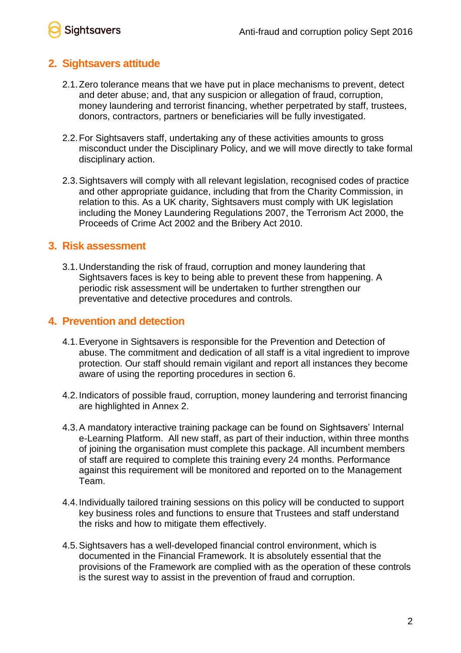## **Sightsavers**

## **2. Sightsavers attitude**

- 2.1.Zero tolerance means that we have put in place mechanisms to prevent, detect and deter abuse; and, that any suspicion or allegation of fraud, corruption, money laundering and terrorist financing, whether perpetrated by staff, trustees, donors, contractors, partners or beneficiaries will be fully investigated.
- 2.2.For Sightsavers staff, undertaking any of these activities amounts to gross misconduct under the Disciplinary Policy, and we will move directly to take formal disciplinary action.
- 2.3.Sightsavers will comply with all relevant legislation, recognised codes of practice and other appropriate guidance, including that from the Charity Commission, in relation to this. As a UK charity, Sightsavers must comply with UK legislation including the Money Laundering Regulations 2007, the Terrorism Act 2000, the Proceeds of Crime Act 2002 and the Bribery Act 2010.

## **3. Risk assessment**

3.1.Understanding the risk of fraud, corruption and money laundering that Sightsavers faces is key to being able to prevent these from happening. A periodic risk assessment will be undertaken to further strengthen our preventative and detective procedures and controls.

## **4. Prevention and detection**

- 4.1.Everyone in Sightsavers is responsible for the Prevention and Detection of abuse. The commitment and dedication of all staff is a vital ingredient to improve protection. Our staff should remain vigilant and report all instances they become aware of using the reporting procedures in section 6.
- 4.2.Indicators of possible fraud, corruption, money laundering and terrorist financing are highlighted in Annex 2.
- 4.3.A mandatory interactive training package can be found on Sightsavers' Internal e-Learning Platform. All new staff, as part of their induction, within three months of joining the organisation must complete this package. All incumbent members of staff are required to complete this training every 24 months. Performance against this requirement will be monitored and reported on to the Management Team.
- 4.4.Individually tailored training sessions on this policy will be conducted to support key business roles and functions to ensure that Trustees and staff understand the risks and how to mitigate them effectively.
- 4.5.Sightsavers has a well-developed financial control environment, which is documented in the Financial Framework. It is absolutely essential that the provisions of the Framework are complied with as the operation of these controls is the surest way to assist in the prevention of fraud and corruption.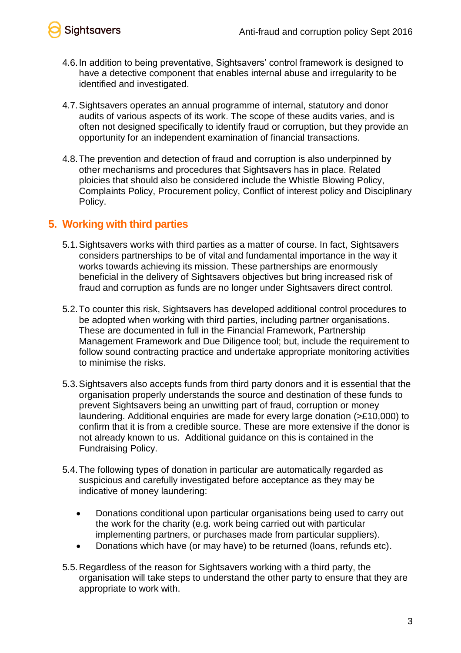



- 4.6.In addition to being preventative, Sightsavers' control framework is designed to have a detective component that enables internal abuse and irregularity to be identified and investigated.
- 4.7.Sightsavers operates an annual programme of internal, statutory and donor audits of various aspects of its work. The scope of these audits varies, and is often not designed specifically to identify fraud or corruption, but they provide an opportunity for an independent examination of financial transactions.
- 4.8.The prevention and detection of fraud and corruption is also underpinned by other mechanisms and procedures that Sightsavers has in place. Related ploicies that should also be considered include the Whistle Blowing Policy, Complaints Policy, Procurement policy, Conflict of interest policy and Disciplinary Policy.

### **5. Working with third parties**

- 5.1.Sightsavers works with third parties as a matter of course. In fact, Sightsavers considers partnerships to be of vital and fundamental importance in the way it works towards achieving its mission. These partnerships are enormously beneficial in the delivery of Sightsavers objectives but bring increased risk of fraud and corruption as funds are no longer under Sightsavers direct control.
- 5.2.To counter this risk, Sightsavers has developed additional control procedures to be adopted when working with third parties, including partner organisations. These are documented in full in the Financial Framework, Partnership Management Framework and Due Diligence tool; but, include the requirement to follow sound contracting practice and undertake appropriate monitoring activities to minimise the risks.
- 5.3.Sightsavers also accepts funds from third party donors and it is essential that the organisation properly understands the source and destination of these funds to prevent Sightsavers being an unwitting part of fraud, corruption or money laundering. Additional enquiries are made for every large donation (>£10,000) to confirm that it is from a credible source. These are more extensive if the donor is not already known to us. Additional guidance on this is contained in the Fundraising Policy.
- 5.4.The following types of donation in particular are automatically regarded as suspicious and carefully investigated before acceptance as they may be indicative of money laundering:
	- Donations conditional upon particular organisations being used to carry out the work for the charity (e.g. work being carried out with particular implementing partners, or purchases made from particular suppliers).
	- Donations which have (or may have) to be returned (loans, refunds etc).
- 5.5.Regardless of the reason for Sightsavers working with a third party, the organisation will take steps to understand the other party to ensure that they are appropriate to work with.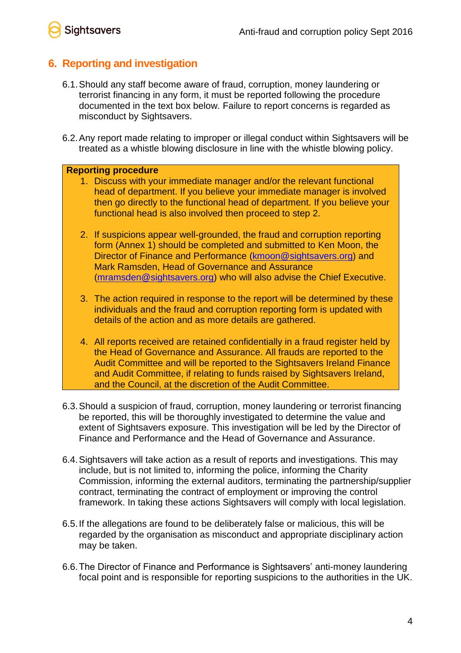Sightsavers

## **6. Reporting and investigation**

- 6.1.Should any staff become aware of fraud, corruption, money laundering or terrorist financing in any form, it must be reported following the procedure documented in the text box below. Failure to report concerns is regarded as misconduct by Sightsavers.
- 6.2.Any report made relating to improper or illegal conduct within Sightsavers will be treated as a whistle blowing disclosure in line with the whistle blowing policy.

#### **Reporting procedure**

- 1. Discuss with your immediate manager and/or the relevant functional head of department. If you believe your immediate manager is involved then go directly to the functional head of department. If you believe your functional head is also involved then proceed to step 2.
- 2. If suspicions appear well-grounded, the fraud and corruption reporting form (Annex 1) should be completed and submitted to Ken Moon, the Director of Finance and Performance [\(kmoon@sightsavers.org\)](mailto:kmoon@sightsavers.org) and Mark Ramsden, Head of Governance and Assurance [\(mramsden@sightsavers.org\)](mailto:mramsden@sightsavers.org) who will also advise the Chief Executive.
- 3. The action required in response to the report will be determined by these individuals and the fraud and corruption reporting form is updated with details of the action and as more details are gathered.
- 4. All reports received are retained confidentially in a fraud register held by the Head of Governance and Assurance. All frauds are reported to the Audit Committee and will be reported to the Sightsavers Ireland Finance and Audit Committee, if relating to funds raised by Sightsavers Ireland, and the Council, at the discretion of the Audit Committee.
- 6.3.Should a suspicion of fraud, corruption, money laundering or terrorist financing be reported, this will be thoroughly investigated to determine the value and extent of Sightsavers exposure. This investigation will be led by the Director of Finance and Performance and the Head of Governance and Assurance.
- 6.4.Sightsavers will take action as a result of reports and investigations. This may include, but is not limited to, informing the police, informing the Charity Commission, informing the external auditors, terminating the partnership/supplier contract, terminating the contract of employment or improving the control framework. In taking these actions Sightsavers will comply with local legislation.
- 6.5.If the allegations are found to be deliberately false or malicious, this will be regarded by the organisation as misconduct and appropriate disciplinary action may be taken.
- 6.6.The Director of Finance and Performance is Sightsavers' anti-money laundering focal point and is responsible for reporting suspicions to the authorities in the UK.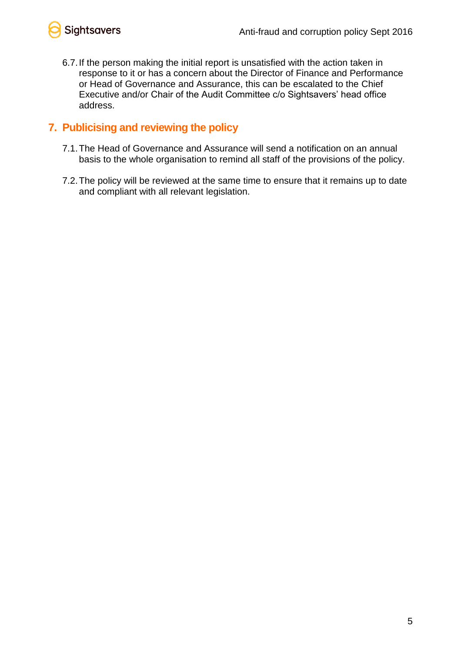

6.7.If the person making the initial report is unsatisfied with the action taken in response to it or has a concern about the Director of Finance and Performance or Head of Governance and Assurance, this can be escalated to the Chief Executive and/or Chair of the Audit Committee c/o Sightsavers' head office address.

## **7. Publicising and reviewing the policy**

- 7.1.The Head of Governance and Assurance will send a notification on an annual basis to the whole organisation to remind all staff of the provisions of the policy.
- 7.2.The policy will be reviewed at the same time to ensure that it remains up to date and compliant with all relevant legislation.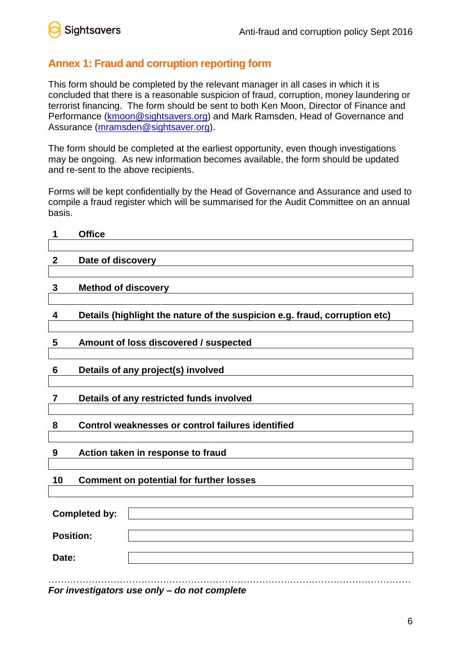

## **Annex 1: Fraud and corruption reporting form**

This form should be completed by the relevant manager in all cases in which it is concluded that there is a reasonable suspicion of fraud, corruption, money laundering or terrorist financing. The form should be sent to both Ken Moon, Director of Finance and Performance [\(kmoon@sightsavers.org\)](mailto:kmoon@sightsavers.org) and Mark Ramsden, Head of Governance and Assurance [\(mramsden@sightsaver.org\)](mailto:mramsden@sightsaver.org).

The form should be completed at the earliest opportunity, even though investigations may be ongoing. As new information becomes available, the form should be updated and re-sent to the above recipients.

Forms will be kept confidentially by the Head of Governance and Assurance and used to compile a fraud register which will be summarised for the Audit Committee on an annual basis.

| 1                    | <b>Office</b>                                                              |  |
|----------------------|----------------------------------------------------------------------------|--|
| $\mathbf{2}$         | Date of discovery                                                          |  |
| 3                    | <b>Method of discovery</b>                                                 |  |
| 4                    | Details (highlight the nature of the suspicion e.g. fraud, corruption etc) |  |
| $5\phantom{.0}$      | Amount of loss discovered / suspected                                      |  |
| 6                    | Details of any project(s) involved                                         |  |
| 7                    | Details of any restricted funds involved                                   |  |
| 8                    | Control weaknesses or control failures identified                          |  |
| 9                    | Action taken in response to fraud                                          |  |
| 10                   | <b>Comment on potential for further losses</b>                             |  |
| <b>Completed by:</b> |                                                                            |  |
| <b>Position:</b>     |                                                                            |  |
| Date:                |                                                                            |  |
|                      | $\overline{a}$ and $\overline{a}$                                          |  |

*For investigators use only – do not complete*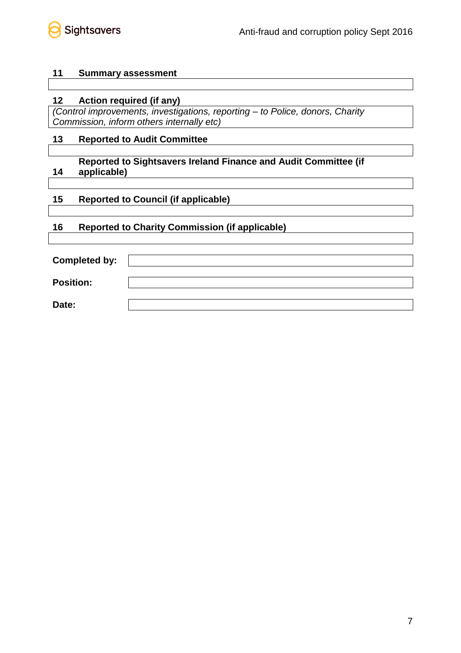

#### **11 Summary assessment**

#### **12 Action required (if any)**

*(Control improvements, investigations, reporting – to Police, donors, Charity Commission, inform others internally etc)*

#### **13 Reported to Audit Committee**

#### **14 Reported to Sightsavers Ireland Finance and Audit Committee (if applicable)**

#### **15 Reported to Council (if applicable)**

#### **16 Reported to Charity Commission (if applicable)**

| <b>Completed by:</b> |  |
|----------------------|--|
| <b>Position:</b>     |  |
| Date:                |  |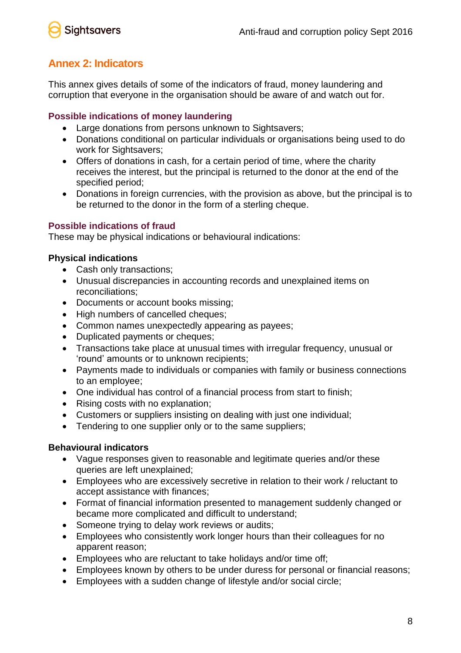

## **Annex 2: Indicators**

This annex gives details of some of the indicators of fraud, money laundering and corruption that everyone in the organisation should be aware of and watch out for.

#### **Possible indications of money laundering**

- Large donations from persons unknown to Sightsavers;
- Donations conditional on particular individuals or organisations being used to do work for Sightsavers;
- Offers of donations in cash, for a certain period of time, where the charity receives the interest, but the principal is returned to the donor at the end of the specified period;
- Donations in foreign currencies, with the provision as above, but the principal is to be returned to the donor in the form of a sterling cheque.

#### **Possible indications of fraud**

These may be physical indications or behavioural indications:

#### **Physical indications**

- Cash only transactions;
- Unusual discrepancies in accounting records and unexplained items on reconciliations;
- Documents or account books missing;
- High numbers of cancelled cheques;
- Common names unexpectedly appearing as payees;
- Duplicated payments or cheques;
- Transactions take place at unusual times with irregular frequency, unusual or 'round' amounts or to unknown recipients;
- Payments made to individuals or companies with family or business connections to an employee;
- One individual has control of a financial process from start to finish;
- Rising costs with no explanation;
- Customers or suppliers insisting on dealing with just one individual;
- Tendering to one supplier only or to the same suppliers;

#### **Behavioural indicators**

- Vague responses given to reasonable and legitimate queries and/or these queries are left unexplained;
- Employees who are excessively secretive in relation to their work / reluctant to accept assistance with finances;
- Format of financial information presented to management suddenly changed or became more complicated and difficult to understand;
- Someone trying to delay work reviews or audits;
- Employees who consistently work longer hours than their colleagues for no apparent reason;
- Employees who are reluctant to take holidays and/or time off;
- Employees known by others to be under duress for personal or financial reasons;
- Employees with a sudden change of lifestyle and/or social circle;